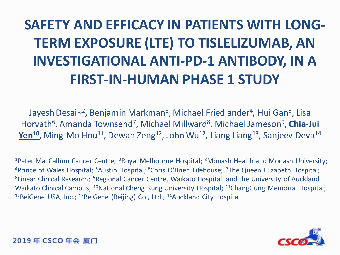# **SAFETY AND EFFICACY IN PATIENTS WITH LONG-TERM EXPOSURE (LTE) TO TISLELIZUMAB, AN INVESTIGATIONAL ANTI-PD-1 ANTIBODY, IN A FIRST-IN-HUMAN PHASE 1 STUDY**

Jayesh Desai<sup>1,2</sup>, Benjamin Markman<sup>3</sup>, Michael Friedlander<sup>4</sup>, Hui Gan<sup>5</sup>, Lisa Horvath<sup>6</sup>, Amanda Townsend<sup>7</sup>, Michael Millward<sup>8</sup>, Michael Jameson<sup>9</sup>, *Chia-Jui* Yen<sup>10</sup>, Ming-Mo Hou<sup>11</sup>, Dewan Zeng<sup>12</sup>, John Wu<sup>12</sup>, Liang Liang<sup>13</sup>, Sanjeev Deva<sup>14</sup>

<sup>1</sup>Peter MacCallum Cancer Centre; <sup>2</sup>Royal Melbourne Hospital; <sup>3</sup>Monash Health and Monash University; <sup>4</sup>Prince of Wales Hospital; <sup>5</sup>Austin Hospital; <sup>6</sup>Chris O'Brien Lifehouse; <sup>7</sup>The Queen Elizabeth Hospital; <sup>8</sup>Linear Clinical Research; <sup>9</sup>Regional Cancer Centre, Waikato Hospital, and the University of Auckland Waikato Clinical Campus; <sup>10</sup>National Cheng Kung University Hospital; <sup>11</sup>ChangGung Memorial Hospital; <sup>12</sup>BeiGene USA, Inc.;  $^{13}$ BeiGene (Beijing) Co., Ltd.;  $^{14}$ Auckland City Hospital

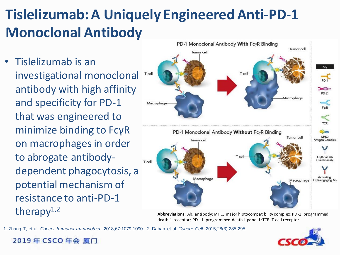# **Tislelizumab: A Uniquely Engineered Anti-PD-1 Monoclonal Antibody**

• Tislelizumab is an investigational monoclonal antibody with high affinity and specificity for PD-1 that was engineered to minimize binding to FcγR on macrophages in order to abrogate antibodydependent phagocytosis, a potential mechanism of resistance to anti-PD-1 therapy $1,2$ 

2019年 CSCO 年会 厦门



**Abbreviations:** Ab, antibody; MHC, major histocompatibility complex; PD-1, programmed death-1 receptor; PD-L1, programmed death ligand-1; TCR, T-cell receptor.

1. Zhang T, et al. *Cancer Immunol Immunother*. 2018;67:1079-1090. 2. Dahan et al. *Cancer Cell.* 2015;28(3):285-295.

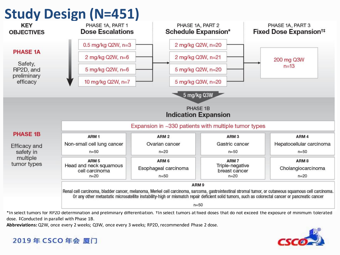

dose. ‡Conducted in parallel with Phase 1B.

**Abbreviations:**Q2W, once every 2 weeks; Q3W, once every 3 weeks; RP2D, recommended Phase 2 dose.

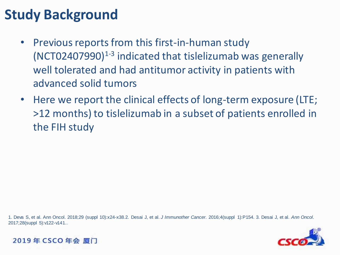# **Study Background**

- Previous reports from this first-in-human study (NCT02407990)<sup>1-3</sup> indicated that tislelizumab was generally well tolerated and had antitumor activity in patients with advanced solid tumors
- Here we report the clinical effects of long-term exposure (LTE; >12 months) to tislelizumab in a subset of patients enrolled in the FIH study

1. Deva S, et al. Ann Oncol. 2018;29 (suppl 10):x24-x38.2. Desai J, et al. *J Immunother Cancer*. 2016;4(suppl 1):P154. 3. Desai J, et al. *Ann Oncol*. 2017;28(suppl 5):v122-v141..



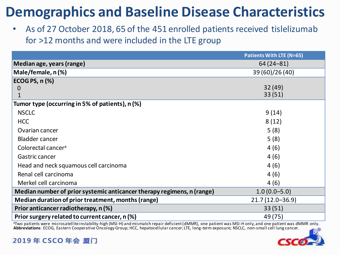## **Demographics and Baseline Disease Characteristics**

• As of 27 October 2018, 65 of the 451 enrolled patients received tislelizumab for >12 months and were included in the LTE group

|                                                                        | <b>Patients With LTE (N=65)</b> |
|------------------------------------------------------------------------|---------------------------------|
| Median age, years (range)                                              | $64(24 - 81)$                   |
| Male/female, n(%)                                                      | 39 (60)/26 (40)                 |
| <b>ECOG PS, n (%)</b>                                                  |                                 |
| $\mathbf 0$                                                            | 32(49)                          |
|                                                                        | 33(51)                          |
| Tumor type (occurring in 5% of patients), n (%)                        |                                 |
| <b>NSCLC</b>                                                           | 9(14)                           |
| <b>HCC</b>                                                             | 8(12)                           |
| Ovarian cancer                                                         | 5(8)                            |
| <b>Bladder cancer</b>                                                  | 5(8)                            |
| Colorectal cancer <sup>a</sup>                                         | 4(6)                            |
| Gastric cancer                                                         | 4(6)                            |
| Head and neck squamous cell carcinoma                                  | 4(6)                            |
| Renal cell carcinoma                                                   | 4(6)                            |
| Merkel cell carcinoma                                                  | 4(6)                            |
| Median number of prior systemic anticancer therapy regimens, n (range) | $1.0(0.0 - 5.0)$                |
| Median duration of prior treatment, months (range)                     | $21.7(12.0 - 36.9)$             |
| Prior anticancer radiotherapy, n (%)                                   | 33(51)                          |
| Prior surgery related to current cancer, n (%)                         | 49 (75)                         |

<sup>a</sup>Two patients were microsatellite instability-high (MSI-H) and mismatch repair deficient (dMMR), one patient was MSI-H only, and one patient was dMMR only. **Abbreviations**: ECOG, Eastern Cooperative Oncology Group; HCC, hepatocellular cancer; LTE, long-term exposure; NSCLC, non-small cell lung cancer.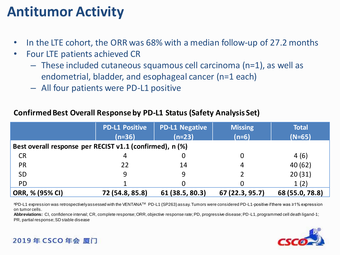## **Antitumor Activity**

- In the LTE cohort, the ORR was 68% with a median follow-up of 27.2 months
- Four LTE patients achieved CR
	- These included cutaneous squamous cell carcinoma (n=1), as well as endometrial, bladder, and esophageal cancer (n=1 each)
	- All four patients were PD-L1 positive

#### **Confirmed Best Overall Response by PD-L1 Status (Safety Analysis Set)**

|                                                          | <b>PD-L1 Positive</b> | <b>PD-L1 Negative</b> | <b>Missing</b>  | <b>Total</b>    |  |  |  |
|----------------------------------------------------------|-----------------------|-----------------------|-----------------|-----------------|--|--|--|
|                                                          | $(n=36)$              | $(n=23)$              | $(n=6)$         | $(N=65)$        |  |  |  |
| Best overall response per RECIST v1.1 (confirmed), n (%) |                       |                       |                 |                 |  |  |  |
| <b>CR</b>                                                | 4                     |                       |                 | 4(6)            |  |  |  |
| <b>PR</b>                                                | 22                    | 14                    | 4               | 40(62)          |  |  |  |
| <b>SD</b>                                                | 9                     | 9                     |                 | 20(31)          |  |  |  |
| <b>PD</b>                                                |                       |                       |                 | 1(2)            |  |  |  |
| ORR, % (95% CI)                                          | 72 (54.8, 85.8)       | 61 (38.5, 80.3)       | 67 (22.3, 95.7) | 68 (55.0, 78.8) |  |  |  |

aPD-L1 expression was retrospectively assessed with the VENTANA™ PD-L1 (SP263) assay. Tumors were considered PD-L1-positive if there was ≥1% expression on tumor cells.

**Abbreviations:** CI, confidence interval; CR, complete response; ORR, objective response rate; PD, progressive disease; PD-L1, programmed cell death ligand-1; PR, partial response; SD stable disease

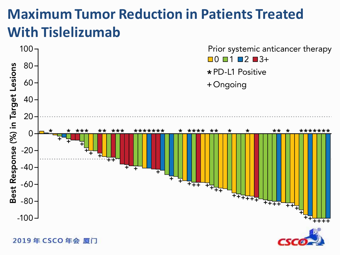## **Maximum Tumor Reduction in Patients Treated With Tislelizumab**



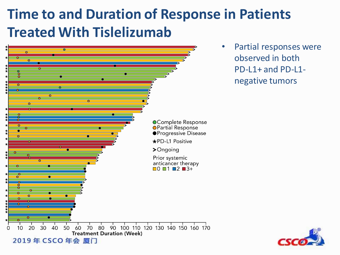## **Time to and Duration of Response in Patients Treated With Tislelizumab**



Partial responses were observed in both PD-L1+ and PD-L1 negative tumors

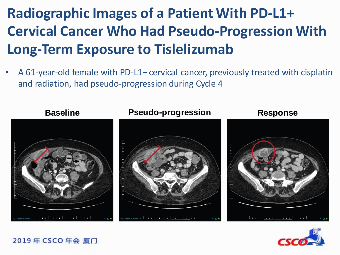# **Radiographic Images of a Patient With PD-L1+ Cervical Cancer Who Had Pseudo-Progression With Long-Term Exposure to Tislelizumab**

• A 61-year-old female with PD-L1+ cervical cancer, previously treated with cisplatin and radiation, had pseudo-progression during Cycle 4



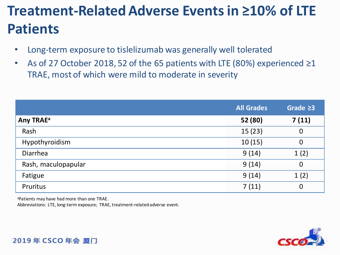# **Treatment-Related Adverse Events in ≥10% of LTE Patients**

- Long-term exposure to tislelizumab was generally well tolerated
- As of 27 October 2018, 52 of the 65 patients with LTE  $(80%)$  experienced  $\geq 1$ TRAE, most of which were mild to moderate in severity

|                       | <b>All Grades</b> | Grade $\geq 3$ |
|-----------------------|-------------------|----------------|
| Any TRAE <sup>a</sup> | 52 (80)           | 7(11)          |
| Rash                  | 15(23)            | $\mathbf 0$    |
| Hypothyroidism        | 10(15)            | $\overline{0}$ |
| <b>Diarrhea</b>       | 9(14)             | 1(2)           |
| Rash, maculopapular   | 9(14)             | $\mathbf 0$    |
| Fatigue               | 9(14)             | 1(2)           |
| Pruritus              | 7(11)             | $\overline{0}$ |

<sup>a</sup>Patients may have had more than one TRAE.

Abbreviations: LTE, long-term exposure; TRAE, treatment-related adverse event.

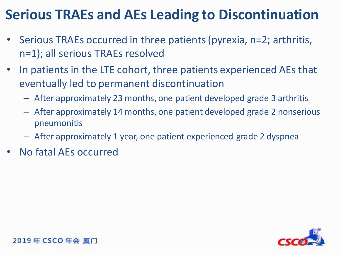## **Serious TRAEs and AEs Leading to Discontinuation**

- Serious TRAEs occurred in three patients (pyrexia, n=2; arthritis, n=1); all serious TRAEs resolved
- In patients in the LTE cohort, three patients experienced AEs that eventually led to permanent discontinuation
	- After approximately 23 months, one patient developed grade 3 arthritis
	- After approximately 14 months, one patient developed grade 2 nonserious pneumonitis
	- After approximately 1 year, one patient experienced grade 2 dyspnea
- No fatal AEs occurred

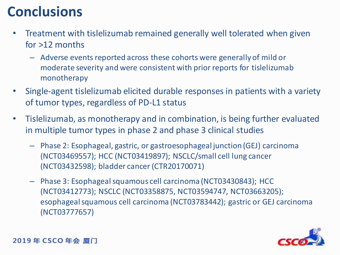### **Conclusions**

- Treatment with tislelizumab remained generally well tolerated when given for >12 months
	- Adverse events reported across these cohorts were generally of mild or moderate severity and were consistent with prior reports for tislelizumab monotherapy
- Single-agent tislelizumab elicited durable responses in patients with a variety of tumor types, regardless of PD-L1 status
- Tislelizumab, as monotherapy and in combination, is being further evaluated in multiple tumor types in phase 2 and phase 3 clinical studies
	- Phase 2: Esophageal, gastric, or gastroesophageal junction (GEJ) carcinoma (NCT03469557); HCC (NCT03419897); NSCLC/small cell lung cancer (NCT03432598); bladder cancer (CTR20170071)
	- Phase 3: Esophageal squamous cell carcinoma (NCT03430843); HCC (NCT03412773); NSCLC (NCT03358875, NCT03594747, NCT03663205); esophageal squamous cell carcinoma (NCT03783442); gastric or GEJ carcinoma (NCT03777657)